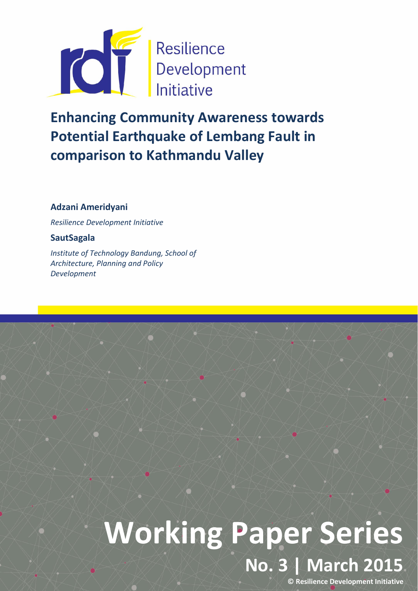

# Enhancing Community Awareness towards Potential Earthquake of Lembang Fault in comparison to Kathmandu Valley

# Adzani Ameridyani

*Resilience Development Initiative*

# **SautSagala**

*Institute of Technology Bandung, School of Architecture, Planning and Policy Development*

# Working Paper Series No. 3 | March 2015

© Resilience Development Initiative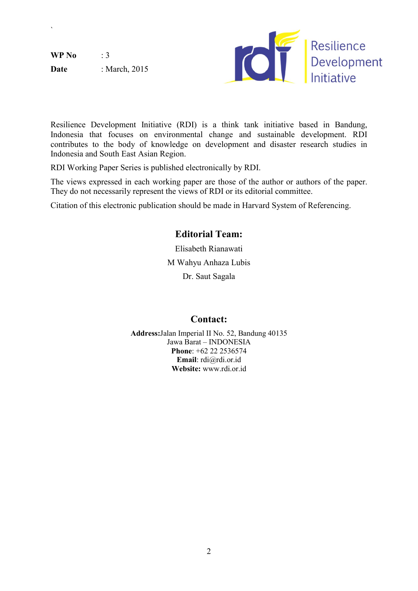$WP No$  : 3 Date : March, 2015

`



Resilience Development Initiative (RDI) is a think tank initiative based in Bandung, Indonesia that focuses on environmental change and sustainable development. RDI contributes to the body of knowledge on development and disaster research studies in Indonesia and South East Asian Region.

RDI Working Paper Series is published electronically by RDI.

The views expressed in each working paper are those of the author or authors of the paper. They do not necessarily represent the views of RDI or its editorial committee.

Citation of this electronic publication should be made in Harvard System of Referencing.

# Editorial Team:

Elisabeth Rianawati M Wahyu Anhaza Lubis Dr. Saut Sagala

# Contact:

Address:Jalan Imperial II No. 52, Bandung 40135 Jawa Barat – INDONESIA Phone: +62 22 2536574 Email: rdi@rdi.or.id Website: www.rdi.or.id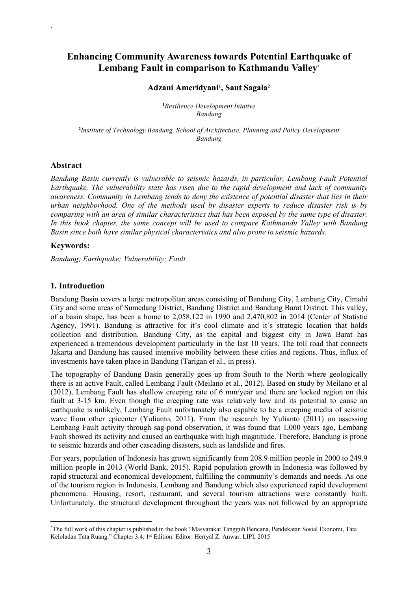## Enhancing Community Awareness towards Potential Earthquake of Lembang Fault in comparison to Kathmandu Valley\*

#### Adzani Ameridyani<sup>1</sup>, Saut Sagala<sup>2</sup>

1 *Resilience Development Iniative Bandung*

2 *Institute of Technology Bandung, School of Architecture, Planning and Policy Development Bandung*

#### Abstract

`

*Bandung Basin currently is vulnerable to seismic hazards, in particular, Lembang Fault Potential Earthquake. The vulnerability state has risen due to the rapid development and lack of community awareness. Community in Lembang tends to deny the existence of potential disaster that lies in their urban neighborhood. One of the methods used by disaster experts to reduce disaster risk is by comparing with an area of similar characteristics that has been exposed by the same type of disaster. In this book chapter, the same concept will be used to compare Kathmandu Valley with Bandung Basin since both have similar physical characteristics and also prone to seismic hazards.*

#### Keywords:

*Bandung; Earthquake; Vulnerability; Fault*

#### 1. Introduction

**.** 

Bandung Basin covers a large metropolitan areas consisting of Bandung City, Lembang City, Cimahi City and some areas of Sumedang District, Bandung District and Bandung Barat District. This valley, of a basin shape, has been a home to 2,058,122 in 1990 and 2,470,802 in 2014 (Center of Statistic Agency, 1991). Bandung is attractive for it's cool climate and it's strategic location that holds collection and distribution. Bandung City, as the capital and biggest city in Jawa Barat has experienced a tremendous development particularly in the last 10 years. The toll road that connects Jakarta and Bandung has caused intensive mobility between these cities and regions. Thus, influx of investments have taken place in Bandung (Tarigan et al., in press).

The topography of Bandung Basin generally goes up from South to the North where geologically there is an active Fault, called Lembang Fault (Meilano et al., 2012). Based on study by Meilano et al (2012), Lembang Fault has shallow creeping rate of 6 mm/year and there are locked region on this fault at 3-15 km. Even though the creeping rate was relatively low and its potential to cause an earthquake is unlikely, Lembang Fault unfortunately also capable to be a creeping media of seismic wave from other epicenter (Yulianto, 2011). From the research by Yulianto (2011) on assessing Lembang Fault activity through sag-pond observation, it was found that 1,000 years ago, Lembang Fault showed its activity and caused an earthquake with high magnitude. Therefore, Bandung is prone to seismic hazards and other cascading disasters, such as landslide and fires.

For years, population of Indonesia has grown significantly from 208.9 million people in 2000 to 249.9 million people in 2013 (World Bank, 2015). Rapid population growth in Indonesia was followed by rapid structural and economical development, fulfilling the community's demands and needs. As one of the tourism region in Indonesia, Lembang and Bandung which also experienced rapid development phenomena. Housing, resort, restaurant, and several tourism attractions were constantly built. Unfortunately, the structural development throughout the years was not followed by an appropriate

<sup>\*</sup> The full work of this chapter is published in the book "Masyarakat Tangguh Bencana, Pendekatan Sosial Ekonomi, Tata Keloladan Tata Ruang." Chapter 3.4, 1st Edition. Editor: Herryal Z. Anwar. LIPI, 2015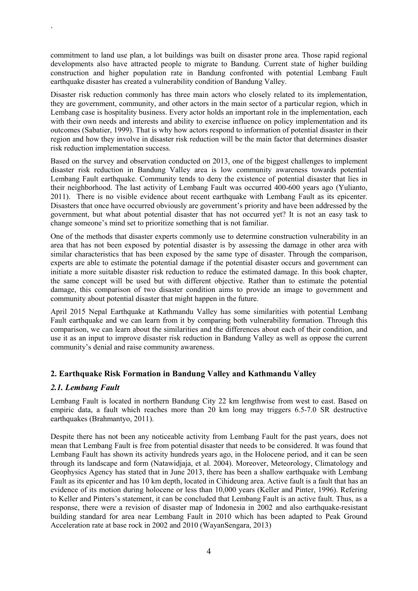commitment to land use plan, a lot buildings was built on disaster prone area. Those rapid regional developments also have attracted people to migrate to Bandung. Current state of higher building construction and higher population rate in Bandung confronted with potential Lembang Fault earthquake disaster has created a vulnerability condition of Bandung Valley.

Disaster risk reduction commonly has three main actors who closely related to its implementation, they are government, community, and other actors in the main sector of a particular region, which in Lembang case is hospitality business. Every actor holds an important role in the implementation, each with their own needs and interests and ability to exercise influence on policy implementation and its outcomes (Sabatier, 1999). That is why how actors respond to information of potential disaster in their region and how they involve in disaster risk reduction will be the main factor that determines disaster risk reduction implementation success.

Based on the survey and observation conducted on 2013, one of the biggest challenges to implement disaster risk reduction in Bandung Valley area is low community awareness towards potential Lembang Fault earthquake. Community tends to deny the existence of potential disaster that lies in their neighborhood. The last activity of Lembang Fault was occurred 400-600 years ago (Yulianto, 2011). There is no visible evidence about recent earthquake with Lembang Fault as its epicenter. Disasters that once have occurred obviously are government's priority and have been addressed by the government, but what about potential disaster that has not occurred yet? It is not an easy task to change someone's mind set to prioritize something that is not familiar.

One of the methods that disaster experts commonly use to determine construction vulnerability in an area that has not been exposed by potential disaster is by assessing the damage in other area with similar characteristics that has been exposed by the same type of disaster. Through the comparison, experts are able to estimate the potential damage if the potential disaster occurs and government can initiate a more suitable disaster risk reduction to reduce the estimated damage. In this book chapter, the same concept will be used but with different objective. Rather than to estimate the potential damage, this comparison of two disaster condition aims to provide an image to government and community about potential disaster that might happen in the future.

April 2015 Nepal Earthquake at Kathmandu Valley has some similarities with potential Lembang Fault earthquake and we can learn from it by comparing both vulnerability formation. Through this comparison, we can learn about the similarities and the differences about each of their condition, and use it as an input to improve disaster risk reduction in Bandung Valley as well as oppose the current community's denial and raise community awareness.

### 2. Earthquake Risk Formation in Bandung Valley and Kathmandu Valley

#### *2.1. Lembang Fault*

`

Lembang Fault is located in northern Bandung City 22 km lengthwise from west to east. Based on empiric data, a fault which reaches more than 20 km long may triggers 6.5-7.0 SR destructive earthquakes (Brahmantyo, 2011).

Despite there has not been any noticeable activity from Lembang Fault for the past years, does not mean that Lembang Fault is free from potential disaster that needs to be considered. It was found that Lembang Fault has shown its activity hundreds years ago, in the Holocene period, and it can be seen through its landscape and form (Natawidjaja, et al. 2004). Moreover, Meteorology, Climatology and Geophysics Agency has stated that in June 2013, there has been a shallow earthquake with Lembang Fault as its epicenter and has 10 km depth, located in Cihideung area. Active fault is a fault that has an evidence of its motion during holocene or less than 10,000 years (Keller and Pinter, 1996). Refering to Keller and Pinters's statement, it can be concluded that Lembang Fault is an active fault. Thus, as a response, there were a revision of disaster map of Indonesia in 2002 and also earthquake-resistant building standard for area near Lembang Fault in 2010 which has been adapted to Peak Ground Acceleration rate at base rock in 2002 and 2010 (WayanSengara, 2013)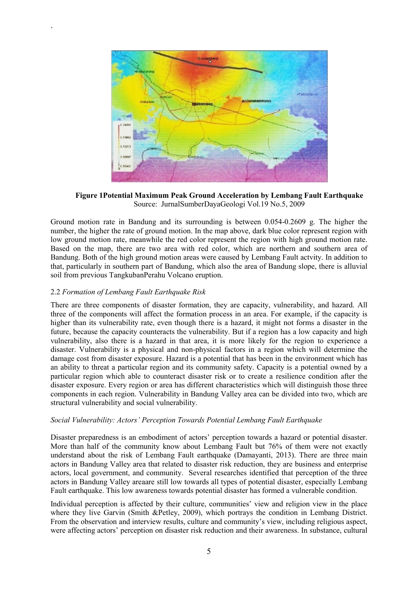

Figure 1Potential Maximum Peak Ground Acceleration by Lembang Fault Earthquake Source: JurnalSumberDayaGeologi Vol.19 No.5, 2009

Ground motion rate in Bandung and its surrounding is between 0.054-0.2609 g. The higher the number, the higher the rate of ground motion. In the map above, dark blue color represent region with low ground motion rate, meanwhile the red color represent the region with high ground motion rate. Based on the map, there are two area with red color, which are northern and southern area of Bandung. Both of the high ground motion areas were caused by Lembang Fault actvity. In addition to that, particularly in southern part of Bandung, which also the area of Bandung slope, there is alluvial soil from previous TangkubanPerahu Volcano eruption.

#### 2.2 *Formation of Lembang Fault Earthquake Risk*

`

There are three components of disaster formation, they are capacity, vulnerability, and hazard. All three of the components will affect the formation process in an area. For example, if the capacity is higher than its vulnerability rate, even though there is a hazard, it might not forms a disaster in the future, because the capacity counteracts the vulnerability. But if a region has a low capacity and high vulnerability, also there is a hazard in that area, it is more likely for the region to experience a disaster. Vulnerability is a physical and non-physical factors in a region which will determine the damage cost from disaster exposure. Hazard is a potential that has been in the environment which has an ability to threat a particular region and its community safety. Capacity is a potential owned by a particular region which able to counteract disaster risk or to create a resilience condition after the disaster exposure. Every region or area has different characteristics which will distinguish those three components in each region. Vulnerability in Bandung Valley area can be divided into two, which are structural vulnerability and social vulnerability.

#### *Social Vulnerability: Actors' Perception Towards Potential Lembang Fault Earthquake*

Disaster preparedness is an embodiment of actors' perception towards a hazard or potential disaster. More than half of the community know about Lembang Fault but 76% of them were not exactly understand about the risk of Lembang Fault earthquake (Damayanti, 2013). There are three main actors in Bandung Valley area that related to disaster risk reduction, they are business and enterprise actors, local government, and community. Several researches identified that perception of the three actors in Bandung Valley areaare still low towards all types of potential disaster, especially Lembang Fault earthquake. This low awareness towards potential disaster has formed a vulnerable condition.

Individual perception is affected by their culture, communities' view and religion view in the place where they live Garvin (Smith &Petley, 2009), which portrays the condition in Lembang District. From the observation and interview results, culture and community's view, including religious aspect, were affecting actors' perception on disaster risk reduction and their awareness. In substance, cultural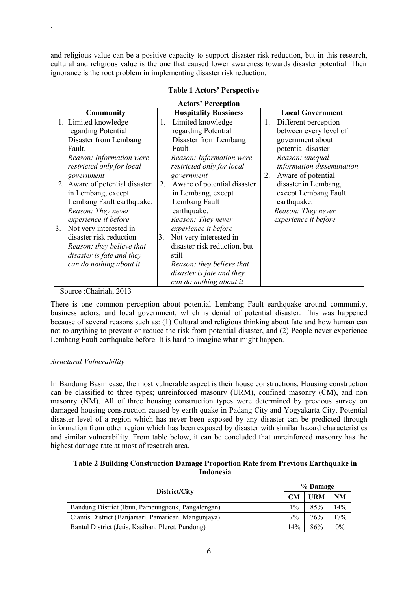and religious value can be a positive capacity to support disaster risk reduction, but in this research, cultural and religious value is the one that caused lower awareness towards disaster potential. Their ignorance is the root problem in implementing disaster risk reduction.

| <b>Actors' Perception</b>      |                                   |                            |  |
|--------------------------------|-----------------------------------|----------------------------|--|
| Community                      | <b>Hospitality Bussiness</b>      | <b>Local Government</b>    |  |
| 1. Limited knowledge           | Limited knowledge<br>1.           | 1.<br>Different perception |  |
| regarding Potential            | regarding Potential               | between every level of     |  |
| Disaster from Lembang          | Disaster from Lembang             | government about           |  |
| Fault.                         | Fault.                            | potential disaster         |  |
| Reason: Information were       | Reason: Information were          | Reason: unequal            |  |
| restricted only for local      | restricted only for local         | information dissemination  |  |
| government                     | government                        | Aware of potential<br>2.   |  |
| 2. Aware of potential disaster | Aware of potential disaster<br>2. | disaster in Lembang,       |  |
| in Lembang, except             | in Lembang, except                | except Lembang Fault       |  |
| Lembang Fault earthquake.      | Lembang Fault                     | earthquake.                |  |
| Reason: They never             | earthquake.                       | Reason: They never         |  |
| experience it before           | Reason: They never                | experience it before       |  |
| Not very interested in<br>3.   | experience it before              |                            |  |
| disaster risk reduction.       | Not very interested in<br>3.      |                            |  |
| Reason: they believe that      | disaster risk reduction, but      |                            |  |
| disaster is fate and they      | still                             |                            |  |
| can do nothing about it        | Reason: they believe that         |                            |  |
|                                | disaster is fate and they         |                            |  |
|                                | can do nothing about it           |                            |  |

#### Table 1 Actors' Perspective

Source :Chairiah, 2013

`

There is one common perception about potential Lembang Fault earthquake around community, business actors, and local government, which is denial of potential disaster. This was happened because of several reasons such as: (1) Cultural and religious thinking about fate and how human can not to anything to prevent or reduce the risk from potential disaster, and (2) People never experience Lembang Fault earthquake before. It is hard to imagine what might happen.

#### *Structural Vulnerability*

In Bandung Basin case, the most vulnerable aspect is their house constructions. Housing construction can be classified to three types; unreinforced masonry (URM), confined masonry (CM), and non masonry (NM). All of three housing construction types were determined by previous survey on damaged housing construction caused by earth quake in Padang City and Yogyakarta City. Potential disaster level of a region which has never been exposed by any disaster can be predicted through information from other region which has been exposed by disaster with similar hazard characteristics and similar vulnerability. From table below, it can be concluded that unreinforced masonry has the highest damage rate at most of research area.

#### Table 2 Building Construction Damage Proportion Rate from Previous Earthquake in Indonesia

| District/City                                       |       | % Damage   |     |  |
|-----------------------------------------------------|-------|------------|-----|--|
|                                                     |       | <b>URM</b> | NM  |  |
| Bandung District (Ibun, Pameungpeuk, Pangalengan)   | $1\%$ | 85%        | 14% |  |
| Ciamis District (Banjarsari, Pamarican, Mangunjaya) | $7\%$ | 76%        | 17% |  |
| Bantul District (Jetis, Kasihan, Pleret, Pundong)   | 14%   | 86%        | 0%  |  |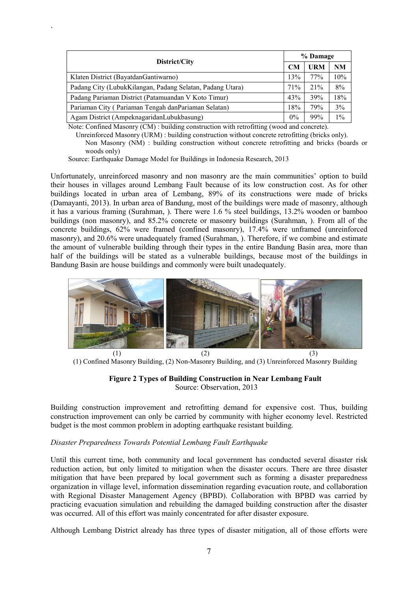| District/City                                             |       | % Damage   |       |  |
|-----------------------------------------------------------|-------|------------|-------|--|
|                                                           |       | <b>URM</b> | NM    |  |
| Klaten District (Bayatdan Gantiwarno)                     | 13%   | 77%        | 10%   |  |
| Padang City (LubukKilangan, Padang Selatan, Padang Utara) | 71%   | 21%        | 8%    |  |
| Padang Pariaman District (Patamuandan V Koto Timur)       | 43%   | 39%        | 18%   |  |
| Pariaman City (Pariaman Tengah danPariaman Selatan)       | 18%   | 79%        | 3%    |  |
| Agam District (AmpeknagaridanLubukbasung)                 | $0\%$ | 99%        | $1\%$ |  |

Note: Confined Masonry (CM) : building construction with retrofitting (wood and concrete).

Unreinforced Masonry (URM) : building construction without concrete retrofitting (bricks only). Non Masonry (NM) : building construction without concrete retrofitting and bricks (boards or woods only)

Source: Earthquake Damage Model for Buildings in Indonesia Research, 2013

`

Unfortunately, unreinforced masonry and non masonry are the main communities' option to build their houses in villages around Lembang Fault because of its low construction cost. As for other buildings located in urban area of Lembang, 89% of its constructions were made of bricks (Damayanti, 2013). In urban area of Bandung, most of the buildings were made of masonry, although it has a various framing (Surahman, ). There were 1.6 % steel buildings, 13.2% wooden or bamboo buildings (non masonry), and 85.2% concrete or masonry buildings (Surahman, ). From all of the concrete buildings, 62% were framed (confined masonry), 17.4% were unframed (unreinforced masonry), and 20.6% were unadequately framed (Surahman, ). Therefore, if we combine and estimate the amount of vulnerable building through their types in the entire Bandung Basin area, more than half of the buildings will be stated as a vulnerable buildings, because most of the buildings in Bandung Basin are house buildings and commonly were built unadequately.



(1) Confined Masonry Building, (2) Non-Masonry Building, and (3) Unreinforced Masonry Building



Source: Observation, 2013

Building construction improvement and retrofitting demand for expensive cost. Thus, building construction improvement can only be carried by community with higher economy level. Restricted budget is the most common problem in adopting earthquake resistant building.

#### *Disaster Preparedness Towards Potential Lembang Fault Earthquake*

Until this current time, both community and local government has conducted several disaster risk reduction action, but only limited to mitigation when the disaster occurs. There are three disaster mitigation that have been prepared by local government such as forming a disaster preparedness organization in village level, information dissemination regarding evacuation route, and collaboration with Regional Disaster Management Agency (BPBD). Collaboration with BPBD was carried by practicing evacuation simulation and rebuilding the damaged building construction after the disaster was occurred. All of this effort was mainly concentrated for after disaster exposure.

Although Lembang District already has three types of disaster mitigation, all of those efforts were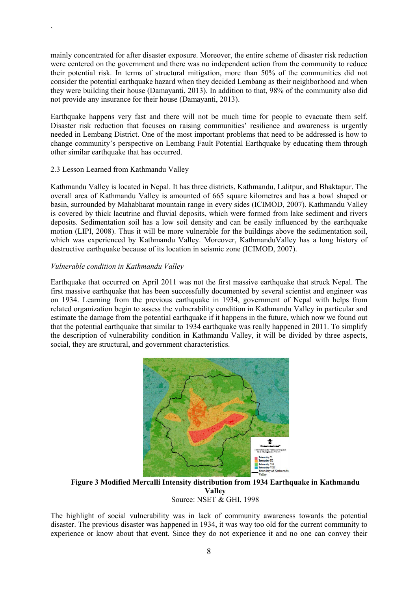mainly concentrated for after disaster exposure. Moreover, the entire scheme of disaster risk reduction were centered on the government and there was no independent action from the community to reduce their potential risk. In terms of structural mitigation, more than 50% of the communities did not consider the potential earthquake hazard when they decided Lembang as their neighborhood and when they were building their house (Damayanti, 2013). In addition to that, 98% of the community also did not provide any insurance for their house (Damayanti, 2013).

Earthquake happens very fast and there will not be much time for people to evacuate them self. Disaster risk reduction that focuses on raising communities' resilience and awareness is urgently needed in Lembang District. One of the most important problems that need to be addressed is how to change community's perspective on Lembang Fault Potential Earthquake by educating them through other similar earthquake that has occurred.

#### 2.3 Lesson Learned from Kathmandu Valley

`

Kathmandu Valley is located in Nepal. It has three districts, Kathmandu, Lalitpur, and Bhaktapur. The overall area of Kathmandu Valley is amounted of 665 square kilometres and has a bowl shaped or basin, surrounded by Mahabharat mountain range in every sides (ICIMOD, 2007). Kathmandu Valley is covered by thick lacutrine and fluvial deposits, which were formed from lake sediment and rivers deposits. Sedimentation soil has a low soil density and can be easily influenced by the earthquake motion (LIPI, 2008). Thus it will be more vulnerable for the buildings above the sedimentation soil, which was experienced by Kathmandu Valley. Moreover, KathmanduValley has a long history of destructive earthquake because of its location in seismic zone (ICIMOD, 2007).

#### *Vulnerable condition in Kathmandu Valley*

Earthquake that occurred on April 2011 was not the first massive earthquake that struck Nepal. The first massive earthquake that has been successfully documented by several scientist and engineer was on 1934. Learning from the previous earthquake in 1934, government of Nepal with helps from related organization begin to assess the vulnerability condition in Kathmandu Valley in particular and estimate the damage from the potential earthquake if it happens in the future, which now we found out that the potential earthquake that similar to 1934 earthquake was really happened in 2011. To simplify the description of vulnerability condition in Kathmandu Valley, it will be divided by three aspects, social, they are structural, and government characteristics.



Figure 3 Modified Mercalli Intensity distribution from 1934 Earthquake in Kathmandu Valley Source: NSET & GHI, 1998

The highlight of social vulnerability was in lack of community awareness towards the potential disaster. The previous disaster was happened in 1934, it was way too old for the current community to experience or know about that event. Since they do not experience it and no one can convey their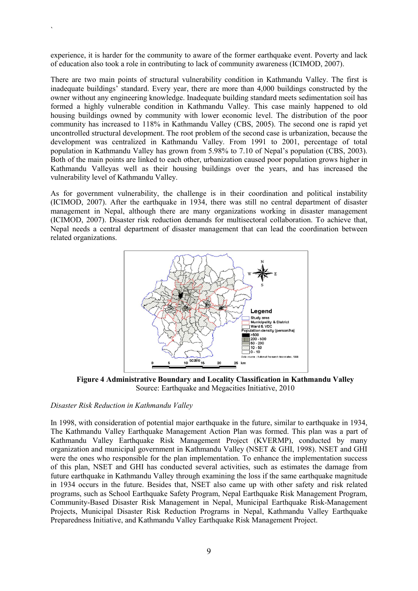experience, it is harder for the community to aware of the former earthquake event. Poverty and lack of education also took a role in contributing to lack of community awareness (ICIMOD, 2007).

There are two main points of structural vulnerability condition in Kathmandu Valley. The first is inadequate buildings' standard. Every year, there are more than 4,000 buildings constructed by the owner without any engineering knowledge. Inadequate building standard meets sedimentation soil has formed a highly vulnerable condition in Kathmandu Valley. This case mainly happened to old housing buildings owned by community with lower economic level. The distribution of the poor community has increased to 118% in Kathmandu Valley (CBS, 2005). The second one is rapid yet uncontrolled structural development. The root problem of the second case is urbanization, because the development was centralized in Kathmandu Valley. From 1991 to 2001, percentage of total population in Kathmandu Valley has grown from 5.98% to 7.10 of Nepal's population (CBS, 2003). Both of the main points are linked to each other, urbanization caused poor population grows higher in Kathmandu Valleyas well as their housing buildings over the years, and has increased the vulnerability level of Kathmandu Valley.

As for government vulnerability, the challenge is in their coordination and political instability (ICIMOD, 2007). After the earthquake in 1934, there was still no central department of disaster management in Nepal, although there are many organizations working in disaster management (ICIMOD, 2007). Disaster risk reduction demands for multisectoral collaboration. To achieve that, Nepal needs a central department of disaster management that can lead the coordination between related organizations.



Figure 4 Administrative Boundary and Locality Classification in Kathmandu Valley Source: Earthquake and Megacities Initiative, 2010

#### *Disaster Risk Reduction in Kathmandu Valley*

`

In 1998, with consideration of potential major earthquake in the future, similar to earthquake in 1934, The Kathmandu Valley Earthquake Management Action Plan was formed. This plan was a part of Kathmandu Valley Earthquake Risk Management Project (KVERMP), conducted by many organization and municipal government in Kathmandu Valley (NSET & GHI, 1998). NSET and GHI were the ones who responsible for the plan implementation. To enhance the implementation success of this plan, NSET and GHI has conducted several activities, such as estimates the damage from future earthquake in Kathmandu Valley through examining the loss if the same earthquake magnitude in 1934 occurs in the future. Besides that, NSET also came up with other safety and risk related programs, such as School Earthquake Safety Program, Nepal Earthquake Risk Management Program, Community-Based Disaster Risk Management in Nepal, Municipal Earthquake Risk-Management Projects, Municipal Disaster Risk Reduction Programs in Nepal, Kathmandu Valley Earthquake Preparedness Initiative, and Kathmandu Valley Earthquake Risk Management Project.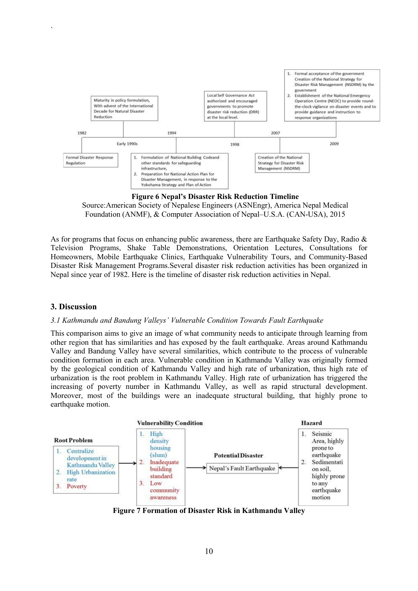

Figure 6 Nepal's Disaster Risk Reduction Timeline Source:American Society of Nepalese Engineers (ASNEngr), America Nepal Medical

Foundation (ANMF), & Computer Association of Nepal–U.S.A. (CAN-USA), 2015

As for programs that focus on enhancing public awareness, there are Earthquake Safety Day, Radio & Television Programs, Shake Table Demonstrations, Orientation Lectures, Consultations for Homeowners, Mobile Earthquake Clinics, Earthquake Vulnerability Tours, and Community-Based Disaster Risk Management Programs.Several disaster risk reduction activities has been organized in Nepal since year of 1982. Here is the timeline of disaster risk reduction activities in Nepal.

#### 3. Discussion

`

#### *3.1 Kathmandu and Bandung Valleys' Vulnerable Condition Towards Fault Earthquake*

This comparison aims to give an image of what community needs to anticipate through learning from other region that has similarities and has exposed by the fault earthquake. Areas around Kathmandu Valley and Bandung Valley have several similarities, which contribute to the process of vulnerable condition formation in each area. Vulnerable condition in Kathmandu Valley was originally formed by the geological condition of Kathmandu Valley and high rate of urbanization, thus high rate of urbanization is the root problem in Kathmandu Valley. High rate of urbanization has triggered the increasing of poverty number in Kathmandu Valley, as well as rapid structural development. Moreover, most of the buildings were an inadequate structural building, that highly prone to earthquake motion.



Figure 7 Formation of Disaster Risk in Kathmandu Valley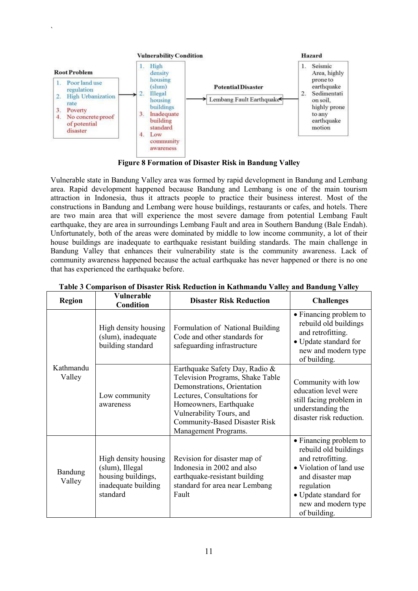

`

Figure 8 Formation of Disaster Risk in Bandung Valley

Vulnerable state in Bandung Valley area was formed by rapid development in Bandung and Lembang area. Rapid development happened because Bandung and Lembang is one of the main tourism attraction in Indonesia, thus it attracts people to practice their business interest. Most of the constructions in Bandung and Lembang were house buildings, restaurants or cafes, and hotels. There are two main area that will experience the most severe damage from potential Lembang Fault earthquake, they are area in surroundings Lembang Fault and area in Southern Bandung (Bale Endah). Unfortunately, both of the areas were dominated by middle to low income community, a lot of their house buildings are inadequate to earthquake resistant building standards. The main challenge in Bandung Valley that enhances their vulnerability state is the community awareness. Lack of community awareness happened because the actual earthquake has never happened or there is no one that has experienced the earthquake before.

| <b>Region</b>       | <b>Vulnerable</b><br><b>Condition</b>                                                            | <b>Disaster Risk Reduction</b>                                                                                                                                                                                                                         | <b>Challenges</b>                                                                                                                                                                                 |
|---------------------|--------------------------------------------------------------------------------------------------|--------------------------------------------------------------------------------------------------------------------------------------------------------------------------------------------------------------------------------------------------------|---------------------------------------------------------------------------------------------------------------------------------------------------------------------------------------------------|
| Kathmandu<br>Valley | High density housing<br>(slum), inadequate<br>building standard                                  | Formulation of National Building<br>Code and other standards for<br>safeguarding infrastructure                                                                                                                                                        | • Financing problem to<br>rebuild old buildings<br>and retrofitting.<br>• Update standard for<br>new and modern type<br>of building.                                                              |
|                     | Low community<br>awareness                                                                       | Earthquake Safety Day, Radio &<br>Television Programs, Shake Table<br>Demonstrations, Orientation<br>Lectures, Consultations for<br>Homeowners, Earthquake<br>Vulnerability Tours, and<br><b>Community-Based Disaster Risk</b><br>Management Programs. | Community with low<br>education level were<br>still facing problem in<br>understanding the<br>disaster risk reduction.                                                                            |
| Bandung<br>Valley   | High density housing<br>(slum), Illegal<br>housing buildings,<br>inadequate building<br>standard | Revision for disaster map of<br>Indonesia in 2002 and also<br>earthquake-resistant building<br>standard for area near Lembang<br>Fault                                                                                                                 | • Financing problem to<br>rebuild old buildings<br>and retrofitting.<br>• Violation of land use<br>and disaster map<br>regulation<br>• Update standard for<br>new and modern type<br>of building. |

#### Table 3 Comparison of Disaster Risk Reduction in Kathmandu Valley and Bandung Valley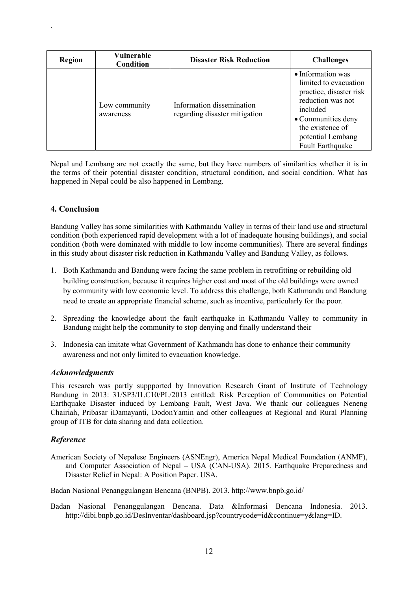| <b>Region</b> | Vulnerable<br><b>Condition</b> | <b>Disaster Risk Reduction</b>                             | <b>Challenges</b>                                                                                                                                                                         |
|---------------|--------------------------------|------------------------------------------------------------|-------------------------------------------------------------------------------------------------------------------------------------------------------------------------------------------|
|               | Low community<br>awareness     | Information dissemination<br>regarding disaster mitigation | • Information was<br>limited to evacuation<br>practice, disaster risk<br>reduction was not<br>included<br>• Communities deny<br>the existence of<br>potential Lembang<br>Fault Earthquake |

Nepal and Lembang are not exactly the same, but they have numbers of similarities whether it is in the terms of their potential disaster condition, structural condition, and social condition. What has happened in Nepal could be also happened in Lembang.

#### 4. Conclusion

`

Bandung Valley has some similarities with Kathmandu Valley in terms of their land use and structural condition (both experienced rapid development with a lot of inadequate housing buildings), and social condition (both were dominated with middle to low income communities). There are several findings in this study about disaster risk reduction in Kathmandu Valley and Bandung Valley, as follows.

- 1. Both Kathmandu and Bandung were facing the same problem in retrofitting or rebuilding old building construction, because it requires higher cost and most of the old buildings were owned by community with low economic level. To address this challenge, both Kathmandu and Bandung need to create an appropriate financial scheme, such as incentive, particularly for the poor.
- 2. Spreading the knowledge about the fault earthquake in Kathmandu Valley to community in Bandung might help the community to stop denying and finally understand their
- 3. Indonesia can imitate what Government of Kathmandu has done to enhance their community awareness and not only limited to evacuation knowledge.

#### *Acknowledgments*

This research was partly suppported by Innovation Research Grant of Institute of Technology Bandung in 2013: 31/SP3/I1.C10/PL/2013 entitled: Risk Perception of Communities on Potential Earthquake Disaster induced by Lembang Fault, West Java. We thank our colleagues Neneng Chairiah, Pribasar iDamayanti, DodonYamin and other colleagues at Regional and Rural Planning group of ITB for data sharing and data collection.

#### *Reference*

American Society of Nepalese Engineers (ASNEngr), America Nepal Medical Foundation (ANMF), and Computer Association of Nepal – USA (CAN-USA). 2015. Earthquake Preparedness and Disaster Relief in Nepal: A Position Paper. USA.

Badan Nasional Penanggulangan Bencana (BNPB). 2013. <http://www.bnpb.go.id/>

Badan Nasional Penanggulangan Bencana. Data &Informasi Bencana Indonesia. 2013. <http://dibi.bnpb.go.id/DesInventar/dashboard.jsp?countrycode=id&continue=y&lang=ID>.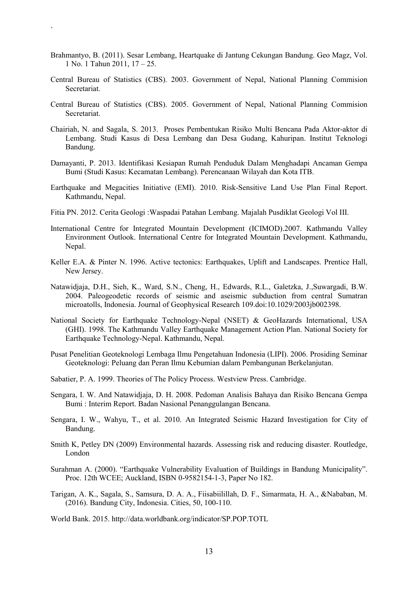Brahmantyo, B. (2011). Sesar Lembang, Heartquake di Jantung Cekungan Bandung. Geo Magz, Vol. 1 No. 1 Tahun 2011, 17 – 25.

`

- Central Bureau of Statistics (CBS). 2003. Government of Nepal, National Planning Commision Secretariat.
- Central Bureau of Statistics (CBS). 2005. Government of Nepal, National Planning Commision Secretariat.
- Chairiah, N. and Sagala, S. 2013. Proses Pembentukan Risiko Multi Bencana Pada Aktor-aktor di Lembang. Studi Kasus di Desa Lembang dan Desa Gudang, Kahuripan. Institut Teknologi Bandung.
- Damayanti, P. 2013. Identifikasi Kesiapan Rumah Penduduk Dalam Menghadapi Ancaman Gempa Bumi (Studi Kasus: Kecamatan Lembang). Perencanaan Wilayah dan Kota ITB.
- Earthquake and Megacities Initiative (EMI). 2010. Risk-Sensitive Land Use Plan Final Report. Kathmandu, Nepal.
- Fitia PN. 2012. Cerita Geologi :Waspadai Patahan Lembang. Majalah Pusdiklat Geologi Vol III.
- International Centre for Integrated Mountain Development (ICIMOD).2007. Kathmandu Valley Environment Outlook. International Centre for Integrated Mountain Development. Kathmandu, Nepal.
- Keller E.A. & Pinter N. 1996. Active tectonics: Earthquakes, Uplift and Landscapes. Prentice Hall, New Jersey.
- Natawidjaja, D.H., Sieh, K., Ward, S.N., Cheng, H., Edwards, R.L., Galetzka, J.,Suwargadi, B.W. 2004. Paleogeodetic records of seismic and aseismic subduction from central Sumatran microatolls, Indonesia. Journal of Geophysical Research 109.doi:10.1029/2003jb002398.
- National Society for Earthquake Technology-Nepal (NSET) & GeoHazards International, USA (GHI). 1998. The Kathmandu Valley Earthquake Management Action Plan. National Society for Earthquake Technology-Nepal. Kathmandu, Nepal.
- Pusat Penelitian Geoteknologi Lembaga Ilmu Pengetahuan Indonesia (LIPI). 2006. Prosiding Seminar Geoteknologi: Peluang dan Peran Ilmu Kebumian dalam Pembangunan Berkelanjutan.
- Sabatier, P. A. 1999. Theories of The Policy Process. Westview Press. Cambridge.
- Sengara, I. W. And Natawidjaja, D. H. 2008. Pedoman Analisis Bahaya dan Risiko Bencana Gempa Bumi : Interim Report. Badan Nasional Penanggulangan Bencana.
- Sengara, I. W., Wahyu, T., et al. 2010. An Integrated Seismic Hazard Investigation for City of Bandung.
- Smith K, Petley DN (2009) Environmental hazards. Assessing risk and reducing disaster. Routledge, London
- Surahman A. (2000). "Earthquake Vulnerability Evaluation of Buildings in Bandung Municipality". Proc. 12th WCEE; Auckland, ISBN 0-9582154-1-3, Paper No 182.
- Tarigan, A. K., Sagala, S., Samsura, D. A. A., Fiisabiilillah, D. F., Simarmata, H. A., &Nababan, M. (2016). Bandung City, Indonesia. Cities, 50, 100-110.

World Bank. 2015.<http://data.worldbank.org/indicator/SP.POP.TOTL>